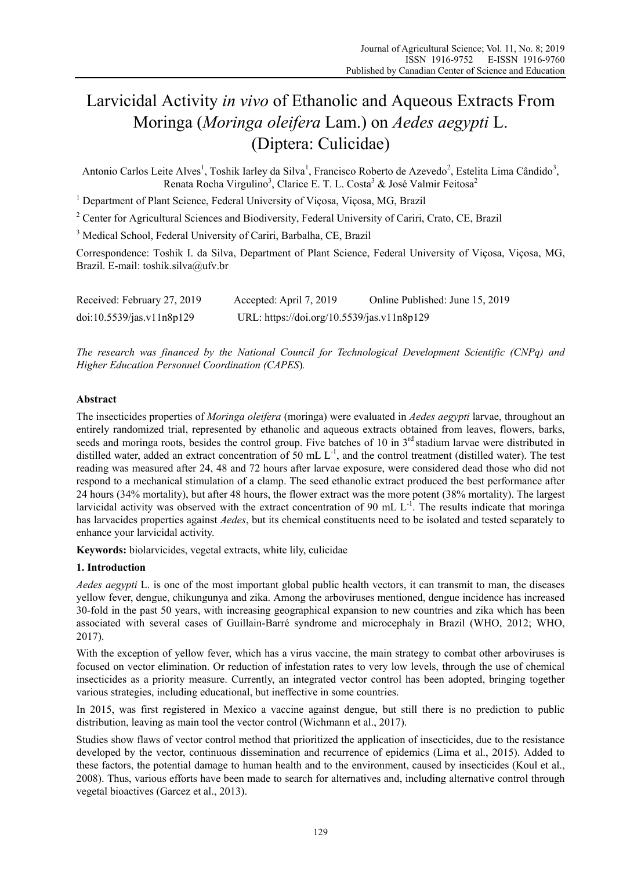# Larvicidal Activity *in vivo* of Ethanolic and Aqueous Extracts From Moringa (*Moringa oleifera* Lam.) on *Aedes aegypti* L. (Diptera: Culicidae)

Antonio Carlos Leite Alves<sup>1</sup>, Toshik Iarley da Silva<sup>1</sup>, Francisco Roberto de Azevedo<sup>2</sup>, Estelita Lima Cândido<sup>3</sup>, Renata Rocha Virgulino<sup>3</sup>, Clarice E. T. L. Costa<sup>3</sup> & José Valmir Feitosa<sup>2</sup>

<sup>1</sup> Department of Plant Science, Federal University of Viçosa, Viçosa, MG, Brazil

<sup>2</sup> Center for Agricultural Sciences and Biodiversity, Federal University of Cariri, Crato, CE, Brazil

<sup>3</sup> Medical School, Federal University of Cariri, Barbalha, CE, Brazil

Correspondence: Toshik I. da Silva, Department of Plant Science, Federal University of Viçosa, Viçosa, MG, Brazil. E-mail: toshik.silva@ufv.br

| Received: February 27, 2019 | Accepted: April 7, 2019                    | Online Published: June 15, 2019 |
|-----------------------------|--------------------------------------------|---------------------------------|
| doi:10.5539/jas.v11n8p129   | URL: https://doi.org/10.5539/jas.v11n8p129 |                                 |

*The research was financed by the National Council for Technological Development Scientific (CNPq) and Higher Education Personnel Coordination (CAPES*)*.*

# **Abstract**

The insecticides properties of *Moringa oleifera* (moringa) were evaluated in *Aedes aegypti* larvae, throughout an entirely randomized trial, represented by ethanolic and aqueous extracts obtained from leaves, flowers, barks, seeds and moringa roots, besides the control group. Five batches of 10 in 3<sup>rd</sup> stadium larvae were distributed in distilled water, added an extract concentration of 50 mL L<sup>-1</sup>, and the control treatment (distilled water). The test reading was measured after 24, 48 and 72 hours after larvae exposure, were considered dead those who did not respond to a mechanical stimulation of a clamp. The seed ethanolic extract produced the best performance after 24 hours (34% mortality), but after 48 hours, the flower extract was the more potent (38% mortality). The largest larvicidal activity was observed with the extract concentration of 90 mL  $L^{-1}$ . The results indicate that moringa has larvacides properties against *Aedes*, but its chemical constituents need to be isolated and tested separately to enhance your larvicidal activity.

**Keywords:** biolarvicides, vegetal extracts, white lily, culicidae

# **1. Introduction**

*Aedes aegypti* L. is one of the most important global public health vectors, it can transmit to man, the diseases yellow fever, dengue, chikungunya and zika. Among the arboviruses mentioned, dengue incidence has increased 30-fold in the past 50 years, with increasing geographical expansion to new countries and zika which has been associated with several cases of Guillain-Barré syndrome and microcephaly in Brazil (WHO, 2012; WHO, 2017).

With the exception of yellow fever, which has a virus vaccine, the main strategy to combat other arboviruses is focused on vector elimination. Or reduction of infestation rates to very low levels, through the use of chemical insecticides as a priority measure. Currently, an integrated vector control has been adopted, bringing together various strategies, including educational, but ineffective in some countries.

In 2015, was first registered in Mexico a vaccine against dengue, but still there is no prediction to public distribution, leaving as main tool the vector control (Wichmann et al., 2017).

Studies show flaws of vector control method that prioritized the application of insecticides, due to the resistance developed by the vector, continuous dissemination and recurrence of epidemics (Lima et al., 2015). Added to these factors, the potential damage to human health and to the environment, caused by insecticides (Koul et al., 2008). Thus, various efforts have been made to search for alternatives and, including alternative control through vegetal bioactives (Garcez et al., 2013).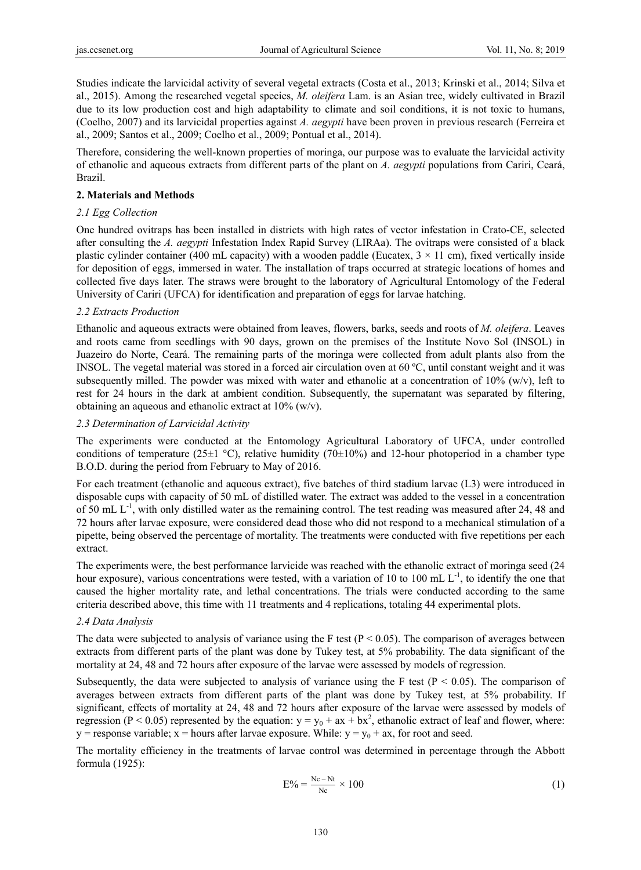Studies indicate the larvicidal activity of several vegetal extracts (Costa et al., 2013; Krinski et al., 2014; Silva et al., 2015). Among the researched vegetal species, *M. oleifera* Lam. is an Asian tree, widely cultivated in Brazil due to its low production cost and high adaptability to climate and soil conditions, it is not toxic to humans, (Coelho, 2007) and its larvicidal properties against *A. aegypti* have been proven in previous research (Ferreira et al., 2009; Santos et al., 2009; Coelho et al., 2009; Pontual et al., 2014).

Therefore, considering the well-known properties of moringa, our purpose was to evaluate the larvicidal activity of ethanolic and aqueous extracts from different parts of the plant on *A. aegypti* populations from Cariri, Ceará, Brazil.

## **2. Materials and Methods**

## *2.1 Egg Collection*

One hundred ovitraps has been installed in districts with high rates of vector infestation in Crato-CE, selected after consulting the *A. aegypti* Infestation Index Rapid Survey (LIRAa). The ovitraps were consisted of a black plastic cylinder container (400 mL capacity) with a wooden paddle (Eucatex,  $3 \times 11$  cm), fixed vertically inside for deposition of eggs, immersed in water. The installation of traps occurred at strategic locations of homes and collected five days later. The straws were brought to the laboratory of Agricultural Entomology of the Federal University of Cariri (UFCA) for identification and preparation of eggs for larvae hatching.

# *2.2 Extracts Production*

Ethanolic and aqueous extracts were obtained from leaves, flowers, barks, seeds and roots of *M. oleifera*. Leaves and roots came from seedlings with 90 days, grown on the premises of the Institute Novo Sol (INSOL) in Juazeiro do Norte, Ceará. The remaining parts of the moringa were collected from adult plants also from the INSOL. The vegetal material was stored in a forced air circulation oven at 60 ºC, until constant weight and it was subsequently milled. The powder was mixed with water and ethanolic at a concentration of 10% (w/v), left to rest for 24 hours in the dark at ambient condition. Subsequently, the supernatant was separated by filtering, obtaining an aqueous and ethanolic extract at 10% (w/v).

## *2.3 Determination of Larvicidal Activity*

The experiments were conducted at the Entomology Agricultural Laboratory of UFCA, under controlled conditions of temperature (25 $\pm$ 1 °C), relative humidity (70 $\pm$ 10%) and 12-hour photoperiod in a chamber type B.O.D. during the period from February to May of 2016.

For each treatment (ethanolic and aqueous extract), five batches of third stadium larvae (L3) were introduced in disposable cups with capacity of 50 mL of distilled water. The extract was added to the vessel in a concentration of 50 mL  $L^{-1}$ , with only distilled water as the remaining control. The test reading was measured after 24, 48 and 72 hours after larvae exposure, were considered dead those who did not respond to a mechanical stimulation of a pipette, being observed the percentage of mortality. The treatments were conducted with five repetitions per each extract.

The experiments were, the best performance larvicide was reached with the ethanolic extract of moringa seed (24 hour exposure), various concentrations were tested, with a variation of 10 to 100 mL  $L^{-1}$ , to identify the one that caused the higher mortality rate, and lethal concentrations. The trials were conducted according to the same criteria described above, this time with 11 treatments and 4 replications, totaling 44 experimental plots.

## *2.4 Data Analysis*

The data were subjected to analysis of variance using the F test ( $P < 0.05$ ). The comparison of averages between extracts from different parts of the plant was done by Tukey test, at 5% probability. The data significant of the mortality at 24, 48 and 72 hours after exposure of the larvae were assessed by models of regression.

Subsequently, the data were subjected to analysis of variance using the F test ( $P < 0.05$ ). The comparison of averages between extracts from different parts of the plant was done by Tukey test, at 5% probability. If significant, effects of mortality at 24, 48 and 72 hours after exposure of the larvae were assessed by models of regression (P < 0.05) represented by the equation:  $y = y_0 + ax + bx^2$ , ethanolic extract of leaf and flower, where: y = response variable; x = hours after larvae exposure. While:  $y = y_0 + ax$ , for root and seed.

The mortality efficiency in the treatments of larvae control was determined in percentage through the Abbott formula (1925):

$$
E\% = \frac{Nc - Nt}{Nc} \times 100\tag{1}
$$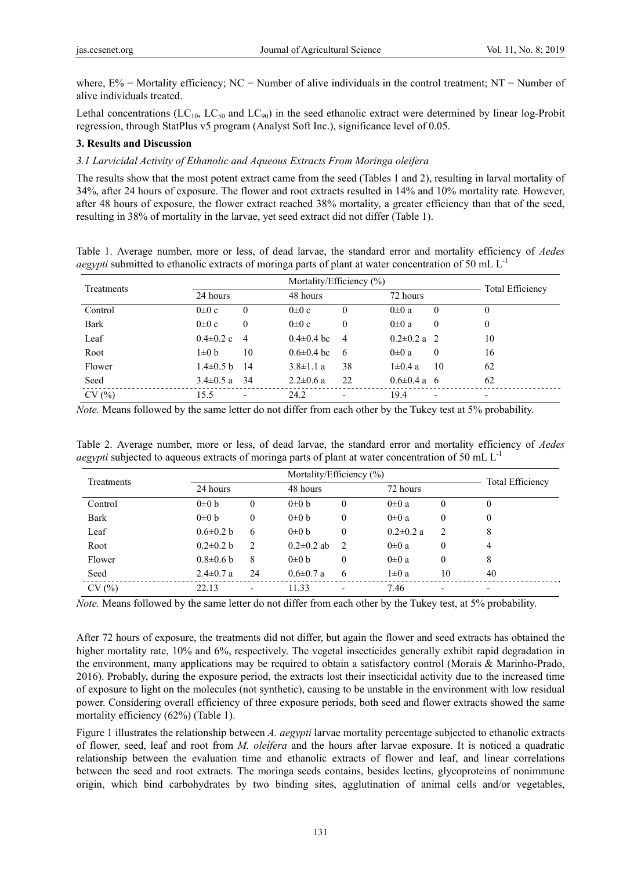where,  $E\%$  = Mortality efficiency; NC = Number of alive individuals in the control treatment; NT = Number of alive individuals treated.

Lethal concentrations ( $LC_{10}$ ,  $LC_{50}$  and  $LC_{90}$ ) in the seed ethanolic extract were determined by linear log-Probit regression, through StatPlus v5 program (Analyst Soft Inc.), significance level of 0.05.

## **3. Results and Discussion**

### *3.1 Larvicidal Activity of Ethanolic and Aqueous Extracts From Moringa oleifera*

The results show that the most potent extract came from the seed (Tables 1 and 2), resulting in larval mortality of 34%, after 24 hours of exposure. The flower and root extracts resulted in 14% and 10% mortality rate. However, after 48 hours of exposure, the flower extract reached 38% mortality, a greater efficiency than that of the seed, resulting in 38% of mortality in the larvae, yet seed extract did not differ (Table 1).

Table 1. Average number, more or less, of dead larvae, the standard error and mortality efficiency of *Aedes* 

*aegypti* submitted to ethanolic extracts of moringa parts of plant at water concentration of 50 mL L<sup>-1</sup>

| Treatments | 24 hours        |          |                  | 48 hours                 |                   |                          | <b>Total Efficiency</b> |
|------------|-----------------|----------|------------------|--------------------------|-------------------|--------------------------|-------------------------|
| Control    | $0\pm 0$ c      | 0        | $0\pm 0$ c       | $\overline{0}$           | $0\pm 0$ a        | 0                        | 0                       |
| Bark       | $0\pm 0$ c      | $\theta$ | $0\pm 0$ c       | $\theta$                 | $0\pm 0$ a        | $\theta$                 | 0                       |
| Leaf       | $0.4 \pm 0.2$ c | -4       | $0.4 \pm 0.4$ bc | $\overline{4}$           | $0.2 \pm 0.2$ a   | - 2.                     | 10                      |
| Root       | 1±0 b           | 10       | $0.6 \pm 0.4$ bc | 6                        | $0\pm 0$ a        | $\theta$                 | 16                      |
| Flower     | $1.4\pm0.5$ b   | 14       | $3.8 \pm 1.1$ a  | 38                       | $1\pm0.4$ a       | 10                       | 62                      |
| Seed       | $3.4 \pm 0.5$ a | -34      | $2.2 \pm 0.6$ a  | 22                       | $0.6 \pm 0.4$ a 6 |                          | 62                      |
| CV(%)      | 155             |          | 242              | $\overline{\phantom{0}}$ | 194               | $\overline{\phantom{0}}$ |                         |

CV (%)  $15.5$  - 24.2 - 19.4 - -

*Note.* Means followed by the same letter do not differ from each other by the Tukey test at 5% probability.

|  |  |  |  |  |  |                                                                                                                 | Table 2. Average number, more or less, of dead larvae, the standard error and mortality efficiency of Aedes |  |
|--|--|--|--|--|--|-----------------------------------------------------------------------------------------------------------------|-------------------------------------------------------------------------------------------------------------|--|
|  |  |  |  |  |  | <i>aegypti</i> subjected to aqueous extracts of moringa parts of plant at water concentration of 50 mL $L^{-1}$ |                                                                                                             |  |

| Treatments  |                 | Mortality/Efficiency $(\%)$ |                  |               |                 |                          |                         |  |  |
|-------------|-----------------|-----------------------------|------------------|---------------|-----------------|--------------------------|-------------------------|--|--|
|             | 24 hours        |                             |                  | 48 hours      |                 |                          | <b>Total Efficiency</b> |  |  |
| Control     | $0\pm 0 b$      | $\mathbf{0}$                | $0\pm 0 b$       | $\theta$      | $0\pm 0$ a      | 0                        | 0                       |  |  |
| <b>Bark</b> | $0\pm 0 b$      | 0                           | $0\pm 0 b$       | 0             | $0\pm 0$ a      | 0                        | 0                       |  |  |
| Leaf        | $0.6 \pm 0.2 b$ | 6                           | $0\pm 0 b$       | 0             | $0.2 \pm 0.2$ a | 2                        | 8                       |  |  |
| Root        | $0.2 \pm 0.2 b$ | 2                           | $0.2 \pm 0.2$ ab | $\mathcal{L}$ | $0\pm 0$ a      | $\theta$                 | 4                       |  |  |
| Flower      | $0.8 \pm 0.6$ b | 8                           | $0\pm 0 b$       | $\theta$      | $0\pm 0$ a      | $\theta$                 | 8                       |  |  |
| Seed        | $2.4 \pm 0.7$ a | 24                          | $0.6 \pm 0.7$ a  | 6             | $1\pm0$ a       | 10                       | 40                      |  |  |
| CV(%)       | 22.13           | $\overline{\phantom{a}}$    | 11.33            |               | 7.46            | $\overline{\phantom{a}}$ |                         |  |  |

*Note.* Means followed by the same letter do not differ from each other by the Tukey test, at 5% probability.

After 72 hours of exposure, the treatments did not differ, but again the flower and seed extracts has obtained the higher mortality rate, 10% and 6%, respectively. The vegetal insecticides generally exhibit rapid degradation in the environment, many applications may be required to obtain a satisfactory control (Morais & Marinho-Prado, 2016). Probably, during the exposure period, the extracts lost their insecticidal activity due to the increased time of exposure to light on the molecules (not synthetic), causing to be unstable in the environment with low residual power. Considering overall efficiency of three exposure periods, both seed and flower extracts showed the same mortality efficiency (62%) (Table 1).

Figure 1 illustrates the relationship between *A. aegypti* larvae mortality percentage subjected to ethanolic extracts of flower, seed, leaf and root from *M. oleífera* and the hours after larvae exposure. It is noticed a quadratic relationship between the evaluation time and ethanolic extracts of flower and leaf, and linear correlations between the seed and root extracts. The moringa seeds contains, besides lectins, glycoproteins of nonimmune origin, which bind carbohydrates by two binding sites, agglutination of animal cells and/or vegetables,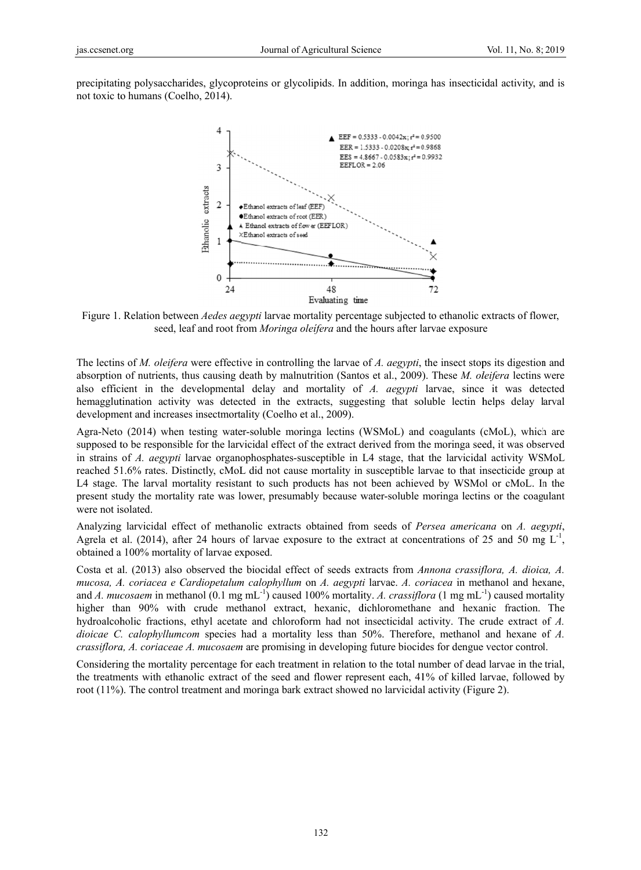precipitating polysaccharides, glycoproteins or glycolipids. In addition, moringa has insecticidal activity, and is not toxic to humans (Coelho, 2014).



Figure 1. Relation between *Aedes aegypti* larvae mortality percentage subjected to ethanolic extracts of flower, seed, leaf and root from Moringa oleifera and the hours after larvae exposure

The lectins of M. oleifera were effective in controlling the larvae of A. aegypti, the insect stops its digestion and absorption of nutrients, thus causing death by malnutrition (Santos et al., 2009). These M. oleifera lectins were also efficient in the developmental delay and mortality of A. aegypti larvae, since it was detected hemagglutination activity was detected in the extracts, suggesting that soluble lectin helps delay larval development and increases insectmortality (Coelho et al., 2009).

Agra-Neto (2014) when testing water-soluble moringa lectins (WSMoL) and coagulants (cMoL), which are supposed to be responsible for the larvicidal effect of the extract derived from the moringa seed, it was observed in strains of A. aegypti larvae organophosphates-susceptible in L4 stage, that the larvicidal activity WSMoL reached 51.6% rates. Distinctly, cMoL did not cause mortality in susceptible larvae to that insecticide group at L4 stage. The larval mortality resistant to such products has not been achieved by WSMol or cMoL. In the present study the mortality rate was lower, presumably because water-soluble moringa lectins or the coagulant were not isolated.

Analyzing larvicidal effect of methanolic extracts obtained from seeds of Persea americana on A. aegypti, Agrela et al. (2014), after 24 hours of larvae exposure to the extract at concentrations of 25 and 50 mg  $L^2$ obtained a 100% mortality of larvae exposed.

Costa et al. (2013) also observed the biocidal effect of seeds extracts from Annona crassiflora, A. dioica, A. mucosa, A. coriacea e Cardiopetalum calophyllum on A. aegypti larvae, A. coriacea in methanol and hexane. and A. mucosaem in methanol (0.1 mg mL<sup>-1</sup>) caused 100% mortality. A. crassiflora (1 mg mL<sup>-1</sup>) caused mortality higher than 90% with crude methanol extract, hexanic, dichloromethane and hexanic fraction. The hydroalcoholic fractions, ethyl acetate and chloroform had not insecticidal activity. The crude extract of A. dioicae C. calophyllumcom species had a mortality less than 50%. Therefore, methanol and hexane of A. crassiflora, A. coriaceae A. mucosaem are promising in developing future biocides for dengue vector control.

Considering the mortality percentage for each treatment in relation to the total number of dead larvae in the trial, the treatments with ethanolic extract of the seed and flower represent each, 41% of killed larvae, followed by root  $(11\%)$ . The control treatment and moring bark extract showed no larvicidal activity (Figure 2).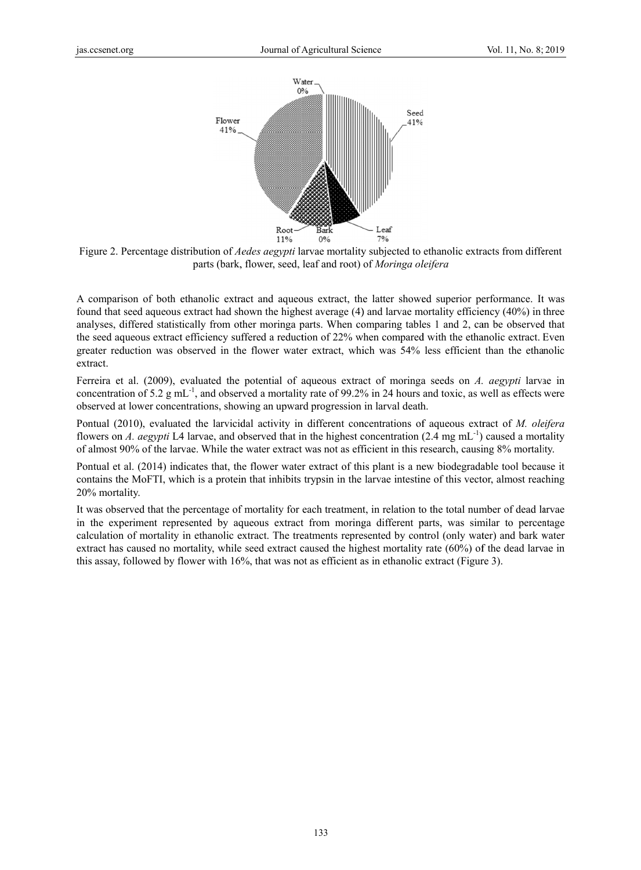

Figure 2. Percentage distribution of *Aedes aegypti* larvae mortality subjected to ethanolic extracts from different parts (bark, , flower, seed, leaf and root) of *Moringa ol leifera*

A comparison of both ethanolic extract and aqueous extract, the latter showed superior performance. It was found that seed aqueous extract had shown the highest average (4) and larvae mortality efficiency (40%) in three analyses, differed statistically from other moringa parts. When comparing tables 1 and 2, can be observed that the seed aqueous extract efficiency suffered a reduction of 22% when compared with the ethanolic extract. Even greater reduction was observed in the flower water extract, which was 54% less efficient than the ethanolic extract.

Ferreira et al. (2009), evaluated the potential of aqueous extract of moringa seeds on *A. aegypti* larvae in concentration of 5.2 g mL<sup>-1</sup>, and observed a mortality rate of 99.2% in 24 hours and toxic, as well as effects were observed at lower concentrations, showing an upward progression in larval death.

Pontual (2010), evaluated the larvicidal activity in different concentrations of aqueous extract of *M. oleifera* flowers on *A. aegypti* L4 larvae, and observed that in the highest concentration  $(2.4 \text{ mg mL}^{-1})$  caused a mortality of almost 90% of the larvae. While the water extract was not as efficient in this research, causing 8% mortality.

Pontual et al. (2014) indicates that, the flower water extract of this plant is a new biodegradable tool because it contains the MoFTI, which is a protein that inhibits trypsin in the larvae intestine of this vector, almost reaching 20% mortality.

It was observed that the percentage of mortality for each treatment, in relation to the total number of dead larvae in the experiment represented by aqueous extract from moringa different parts, was similar to percentage calculation of mortality in ethanolic extract. The treatments represented by control (only water) and bark water extract has caused no mortality, while seed extract caused the highest mortality rate (60%) of the dead larvae in this assay, followed by flower with 16%, that was not as efficient as in ethanolic extract (Figure 3).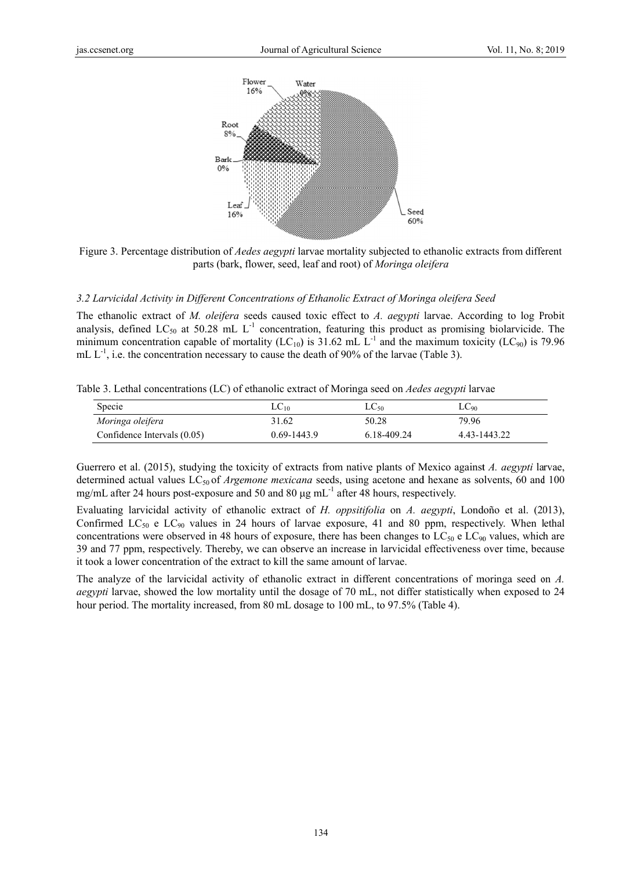

Figure 3. Percentage distribution of *Aedes aegypti* larvae mortality subjected to ethanolic extracts from different parts (bark, flower, seed, leaf and root) of Moringa oleifera

#### 3.2 Larvicidal Activity in Different Concentrations of Ethanolic Extract of Moringa oleifera Seed

The ethanolic extract of M. oleifera seeds caused toxic effect to A. aegypti larvae. According to log Probit analysis, defined LC<sub>50</sub> at 50.28 mL  $L^{-1}$  concentration, featuring this product as promising biolarvicide. The minimum concentration capable of mortality (LC<sub>10</sub>) is 31.62 mL L<sup>-1</sup> and the maximum toxicity (LC<sub>90</sub>) is 79.96 mL  $L^{-1}$ , i.e. the concentration necessary to cause the death of 90% of the larvae (Table 3).

Table 3. Lethal concentrations (LC) of ethanolic extract of Moringa seed on *Aedes aegypti* larvae

| Specie                      | $LC_{10}$       | $LC_{50}$   | $LC_{90}$    |
|-----------------------------|-----------------|-------------|--------------|
| Moringa oleifera            | 31.62           | 50.28       | 79.96        |
| Confidence Intervals (0.05) | $0.69 - 1443.9$ | 6.18-409.24 | 4.43-1443.22 |

Guerrero et al. (2015), studying the toxicity of extracts from native plants of Mexico against A. aegypti larvae, determined actual values LC<sub>50</sub> of *Argemone mexicana* seeds, using acetone and hexane as solvents, 60 and 100 mg/mL after 24 hours post-exposure and 50 and 80  $\mu$ g mL<sup>-1</sup> after 48 hours, respectively.

Evaluating larvicidal activity of ethanolic extract of H. oppsitifolia on A. aegypti, Londoño et al. (2013), Confirmed LC<sub>50</sub> e LC<sub>90</sub> values in 24 hours of larvae exposure, 41 and 80 ppm, respectively. When lethal concentrations were observed in 48 hours of exposure, there has been changes to  $LC_{50}$  e  $LC_{90}$  values, which are 39 and 77 ppm, respectively. Thereby, we can observe an increase in larvicidal effectiveness over time, because it took a lower concentration of the extract to kill the same amount of larvae.

The analyze of the larvicidal activity of ethanolic extract in different concentrations of moringa seed on A. *aegypti* larvae, showed the low mortality until the dosage of 70 mL, not differ statistically when exposed to 24 hour period. The mortality increased, from 80 mL dosage to 100 mL, to 97.5% (Table 4).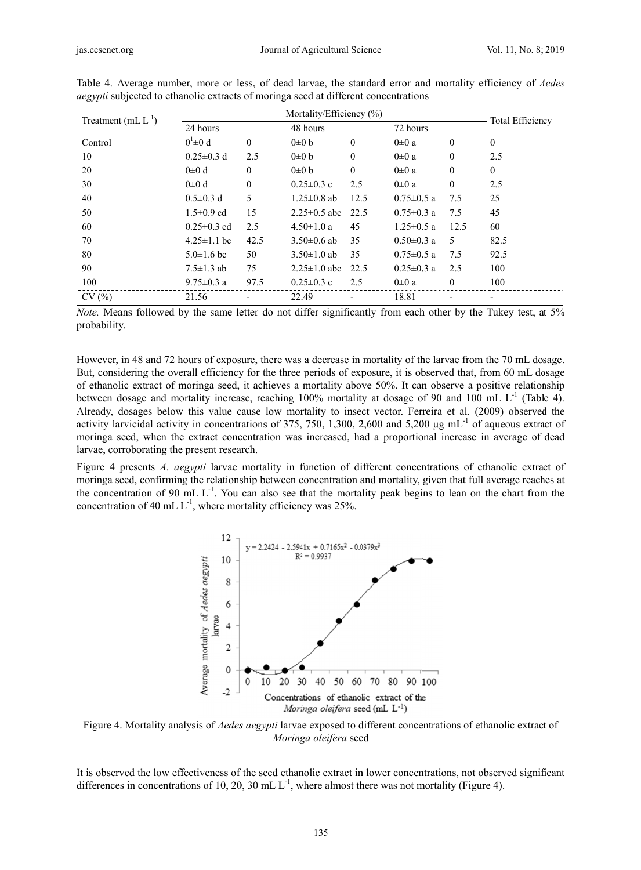| Treatment (mL $L^{-1}$ ) |                   |                  | <b>Total Efficiency</b> |              |                  |              |              |  |
|--------------------------|-------------------|------------------|-------------------------|--------------|------------------|--------------|--------------|--|
|                          | 24 hours          |                  | 48 hours                |              | 72 hours         |              |              |  |
| Control                  | $0^1 \pm 0 d$     | $\theta$         | $0\pm 0 b$              | $\theta$     | $0\pm 0$ a       | $\theta$     | $\Omega$     |  |
| 10                       | $0.25 \pm 0.3$ d  | 2.5              | $0\pm 0 b$              | $\theta$     | $0\pm 0$ a       | $\mathbf{0}$ | 2.5          |  |
| 20                       | $0\pm 0$ d        | $\theta$         | $0\pm 0 b$              | $\mathbf{0}$ | $0\pm 0$ a       | $\theta$     | $\mathbf{0}$ |  |
| 30                       | $0\pm 0$ d        | $\boldsymbol{0}$ | $0.25 \pm 0.3$ c        | 2.5          | $0\pm 0$ a       | $\mathbf{0}$ | 2.5          |  |
| 40                       | $0.5 \pm 0.3$ d   | 5                | $1.25 \pm 0.8$ ab       | 12.5         | $0.75 \pm 0.5$ a | 7.5          | 25           |  |
| 50                       | $1.5 \pm 0.9$ cd  | 15               | $2.25 \pm 0.5$ abc      | 22.5         | $0.75 \pm 0.3$ a | 7.5          | 45           |  |
| 60                       | $0.25 \pm 0.3$ cd | 2.5              | $4.50 \pm 1.0 a$        | 45           | $1.25 \pm 0.5$ a | 12.5         | 60           |  |
| 70                       | $4.25 \pm 1.1$ bc | 42.5             | $3.50\pm0.6$ ab         | 35           | $0.50 \pm 0.3$ a | 5            | 82.5         |  |
| 80                       | $5.0 \pm 1.6$ bc  | 50               | $3.50 \pm 1.0$ ab       | 35           | $0.75 \pm 0.5$ a | 7.5          | 92.5         |  |
| 90                       | $7.5 \pm 1.3$ ab  | 75               | $2.25 \pm 1.0$ abc      | 22.5         | $0.25 \pm 0.3$ a | 2.5          | 100          |  |
| 100                      | 9.75 $\pm$ 0.3 a  | 97.5             | $0.25 \pm 0.3$ c        | 2.5          | $0\pm 0$ a       | $\mathbf{0}$ | 100          |  |
| CV(%)                    | 21.56             |                  | 22.49                   |              | 18.81            |              |              |  |

Table 4. Average number, more or less, of dead larvae, the standard error and mortality efficiency of *Aedes aegypti* subjected to ethanolic extracts of moring aseed at different concentrations

*Note.* Means followed by the same letter do not differ significantly from each other by the Tukey test, at 5% probability.

However, in 48 and 72 hours of exposure, there was a decrease in mortality of the larvae from the 70 mL dosage. But, considering the overall efficiency for the three periods of exposure, it is observed that, from 60 mL dosage of ethanolic extract of moringa seed, it achieves a mortality above 50%. It can observe a positive relationship between dosage and mortality increase, reaching 100% mortality at dosage of 90 and 100 mL  $L^{-1}$  (Table 4). Already, dosages below this value cause low mortality to insect vector. Ferreira et al. (2009) observed the activity larvicidal activity in concentrations of 375, 750, 1,300, 2,600 and 5,200 µg mL<sup>-1</sup> of aqueous extract of moringa seed, when the extract concentration was increased, had a proportional increase in average of dead larvae, corroborating the present research.

Figure 4 presents A. aegypti larvae mortality in function of different concentrations of ethanolic extract of moring aseed, confirming the relationship between concentration and mortality, given that full average reaches at the concentration of 90 mL  $L^{-1}$ . You can also see that the mortality peak begins to lean on the chart from the concentration of 40 mL  $L^{-1}$ , where mortality efficiency was 25%.



Figure 4. Mortality analysis of *Aedes aegypti* larvae exposed to different concentrations of ethanolic extract of Moringa oleifera seed

It is observed the low effectiveness of the seed ethanolic extract in lower concentrations, not observed significant differences in concentrations of 10, 20, 30 mL  $L^{-1}$ , where almost there was not mortality (Figure 4).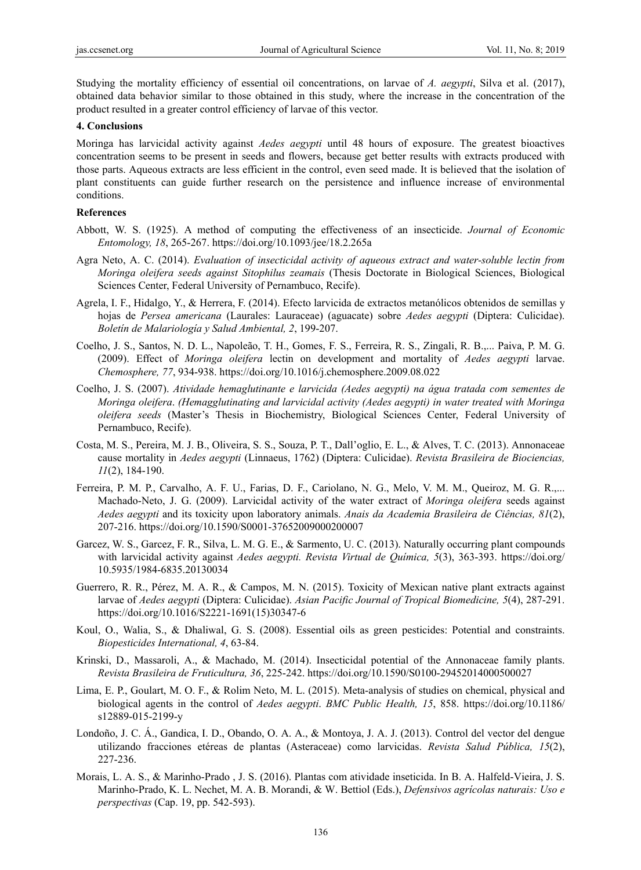Studying the mortality efficiency of essential oil concentrations, on larvae of *A. aegypti*, Silva et al. (2017), obtained data behavior similar to those obtained in this study, where the increase in the concentration of the product resulted in a greater control efficiency of larvae of this vector.

### **4. Conclusions**

Moringa has larvicidal activity against *Aedes aegypti* until 48 hours of exposure. The greatest bioactives concentration seems to be present in seeds and flowers, because get better results with extracts produced with those parts. Aqueous extracts are less efficient in the control, even seed made. It is believed that the isolation of plant constituents can guide further research on the persistence and influence increase of environmental conditions.

#### **References**

- Abbott, W. S. (1925). A method of computing the effectiveness of an insecticide. *Journal of Economic Entomology, 18*, 265-267. https://doi.org/10.1093/jee/18.2.265a
- Agra Neto, A. C. (2014). *Evaluation of insecticidal activity of aqueous extract and water-soluble lectin from Moringa oleifera seeds against Sitophilus zeamais* (Thesis Doctorate in Biological Sciences, Biological Sciences Center, Federal University of Pernambuco, Recife).
- Agrela, I. F., Hidalgo, Y., & Herrera, F. (2014). Efecto larvicida de extractos metanólicos obtenidos de semillas y hojas de *Persea americana* (Laurales: Lauraceae) (aguacate) sobre *Aedes aegypti* (Diptera: Culicidae). *Boletín de Malariología y Salud Ambiental, 2*, 199-207.
- Coelho, J. S., Santos, N. D. L., Napoleão, T. H., Gomes, F. S., Ferreira, R. S., Zingali, R. B.,... Paiva, P. M. G. (2009). Effect of *Moringa oleifera* lectin on development and mortality of *Aedes aegypti* larvae. *Chemosphere, 77*, 934-938. https://doi.org/10.1016/j.chemosphere.2009.08.022
- Coelho, J. S. (2007). *Atividade hemaglutinante e larvicida (Aedes aegypti) na água tratada com sementes de Moringa oleifera*. *(Hemagglutinating and larvicidal activity (Aedes aegypti) in water treated with Moringa oleifera seeds* (Master's Thesis in Biochemistry, Biological Sciences Center, Federal University of Pernambuco, Recife).
- Costa, M. S., Pereira, M. J. B., Oliveira, S. S., Souza, P. T., Dall'oglio, E. L., & Alves, T. C. (2013). Annonaceae cause mortality in *Aedes aegypti* (Linnaeus, 1762) (Diptera: Culicidae). *Revista Brasileira de Biociencias, 11*(2), 184-190.
- Ferreira, P. M. P., Carvalho, A. F. U., Farias, D. F., Cariolano, N. G., Melo, V. M. M., Queiroz, M. G. R.,... Machado-Neto, J. G. (2009). Larvicidal activity of the water extract of *Moringa oleifera* seeds against *Aedes aegypti* and its toxicity upon laboratory animals. *Anais da Academia Brasileira de Ciências, 81*(2), 207-216. https://doi.org/10.1590/S0001-37652009000200007
- Garcez, W. S., Garcez, F. R., Silva, L. M. G. E., & Sarmento, U. C. (2013). Naturally occurring plant compounds with larvicidal activity against *Aedes aegypti. Revista Virtual de Química, 5*(3), 363-393. https://doi.org/ 10.5935/1984-6835.20130034
- Guerrero, R. R., Pérez, M. A. R., & Campos, M. N. (2015). Toxicity of Mexican native plant extracts against larvae of *Aedes aegypti* (Diptera: Culicidae). *Asian Pacific Journal of Tropical Biomedicine, 5*(4), 287-291. https://doi.org/10.1016/S2221-1691(15)30347-6
- Koul, O., Walia, S., & Dhaliwal, G. S. (2008). Essential oils as green pesticides: Potential and constraints. *Biopesticides International, 4*, 63-84.
- Krinski, D., Massaroli, A., & Machado, M. (2014). Insecticidal potential of the Annonaceae family plants. *Revista Brasileira de Fruticultura, 36*, 225-242. https://doi.org/10.1590/S0100-29452014000500027
- Lima, E. P., Goulart, M. O. F., & Rolim Neto, M. L. (2015). Meta-analysis of studies on chemical, physical and biological agents in the control of *Aedes aegypti*. *BMC Public Health, 15*, 858. https://doi.org/10.1186/ s12889-015-2199-y
- Londoño, J. C. Á., Gandica, I. D., Obando, O. A. A., & Montoya, J. A. J. (2013). Control del vector del dengue utilizando fracciones etéreas de plantas (Asteraceae) como larvicidas. *Revista Salud Pública, 15*(2), 227-236.
- Morais, L. A. S., & Marinho-Prado , J. S. (2016). Plantas com atividade inseticida. In B. A. Halfeld-Vieira, J. S. Marinho-Prado, K. L. Nechet, M. A. B. Morandi, & W. Bettiol (Eds.), *Defensivos agrícolas naturais: Uso e perspectivas* (Cap. 19, pp. 542-593).